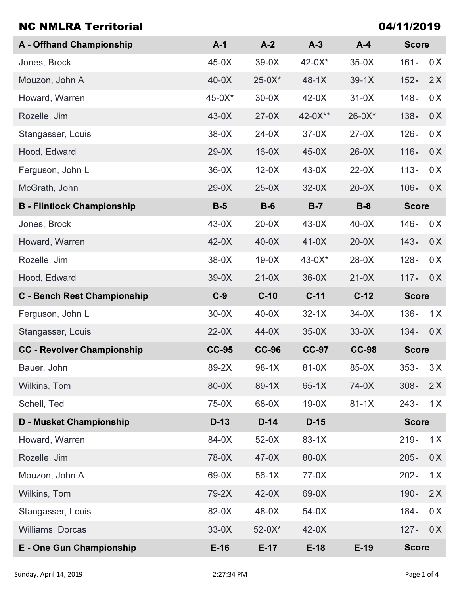| <b>NC NMLRA Territorial</b>        |              |              |              |              | 04/11/2019   |              |  |
|------------------------------------|--------------|--------------|--------------|--------------|--------------|--------------|--|
| <b>A</b> - Offhand Championship    | $A-1$        | $A-2$        | $A-3$        | $A-4$        | <b>Score</b> |              |  |
| Jones, Brock                       | $45-0X$      | $39-0X$      | $42 - 0X^*$  | $35-0X$      | $161 -$      | 0X           |  |
| Mouzon, John A                     | $40-0X$      | $25-0X*$     | $48-1X$      | $39-1X$      | $152 -$      | 2X           |  |
| Howard, Warren                     | 45-0X*       | $30-0X$      | $42-0X$      | $31-0X$      | $148 -$      | 0X           |  |
| Rozelle, Jim                       | $43-0X$      | $27-0X$      | 42-0X**      | $26 - 0X^*$  | $138 -$      | 0X           |  |
| Stangasser, Louis                  | 38-0X        | $24-0X$      | $37-0X$      | $27-0X$      | $126 -$      | 0X           |  |
| Hood, Edward                       | $29-0X$      | $16-0X$      | $45-0X$      | $26-0X$      | $116 -$      | 0X           |  |
| Ferguson, John L                   | $36-0X$      | $12-0X$      | $43-0X$      | $22-0X$      | $113 -$      | 0 X          |  |
| McGrath, John                      | $29-0X$      | $25-0X$      | $32-0X$      | $20-0X$      | $106 -$      | 0X           |  |
| <b>B</b> - Flintlock Championship  | $B-5$        | $B-6$        | $B-7$        | $B-8$        | <b>Score</b> |              |  |
| Jones, Brock                       | $43-0X$      | $20-0X$      | $43-0X$      | $40-0X$      | $146 -$      | 0X           |  |
| Howard, Warren                     | $42-0X$      | $40-0X$      | $41-0X$      | $20-0X$      | $143 -$      | 0X           |  |
| Rozelle, Jim                       | 38-0X        | $19-0X$      | $43 - 0X^*$  | $28-0X$      | $128 -$      | 0X           |  |
| Hood, Edward                       | 39-0X        | $21-0X$      | $36-0X$      | $21-0X$      | $117 -$      | 0X           |  |
| <b>C</b> - Bench Rest Championship | $C-9$        | $C-10$       | $C-11$       | $C-12$       |              | <b>Score</b> |  |
| Ferguson, John L                   | $30-0X$      | $40-0X$      | $32-1X$      | $34-0X$      | $136 -$      | 1X           |  |
| Stangasser, Louis                  | $22-0X$      | $44-0X$      | $35-0X$      | $33-0X$      | $134 -$      | 0X           |  |
| <b>CC - Revolver Championship</b>  | <b>CC-95</b> | <b>CC-96</b> | <b>CC-97</b> | <b>CC-98</b> |              | <b>Score</b> |  |
| Bauer, John                        | 89-2X        | $98-1X$      | 81-0X        | 85-0X        | $353 -$      | 3X           |  |
| Wilkins, Tom                       | 80-0X        | 89-1X        | $65-1X$      | 74-0X        | $308 -$      | 2X           |  |
| Schell, Ted                        | 75-0X        | 68-0X        | $19-0X$      | $81-1X$      | $243 -$      | 1X           |  |
| <b>D</b> - Musket Championship     | $D-13$       | $D-14$       | $D-15$       |              |              | <b>Score</b> |  |
| Howard, Warren                     | 84-0X        | $52-0X$      | $83-1X$      |              | $219 -$      | 1X           |  |
| Rozelle, Jim                       | 78-0X        | $47-0X$      | 80-0X        |              | $205 -$      | 0X           |  |
| Mouzon, John A                     | 69-0X        | $56-1X$      | $77-0X$      |              | $202 -$      | 1X           |  |
| Wilkins, Tom                       | 79-2X        | $42-0X$      | 69-0X        |              | $190 -$      | 2X           |  |
| Stangasser, Louis                  | 82-0X        | $48-0X$      | $54-0X$      |              | $184 -$      | 0X           |  |
| <b>Williams, Dorcas</b>            | $33-0X$      | $52-0X*$     | $42-0X$      |              | $127 -$      | 0X           |  |
| <b>E</b> - One Gun Championship    | $E-16$       | $E-17$       | $E-18$       | $E-19$       | <b>Score</b> |              |  |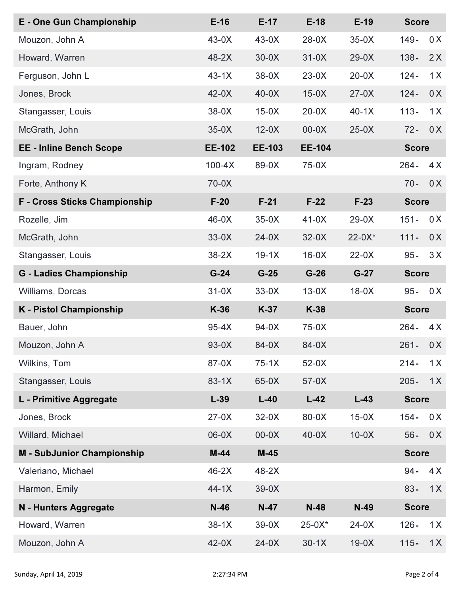| <b>E</b> - One Gun Championship   | $E-16$        | $E-17$        | $E-18$        | $E-19$    |              | <b>Score</b> |  |
|-----------------------------------|---------------|---------------|---------------|-----------|--------------|--------------|--|
| Mouzon, John A                    | $43-0X$       | $43-0X$       | $28-0X$       | $35-0X$   | $149 -$      | 0X           |  |
| Howard, Warren                    | 48-2X         | $30-0X$       | $31-0X$       | $29-0X$   | $138 -$      | 2X           |  |
| Ferguson, John L                  | $43-1X$       | $38-0X$       | $23-0X$       | $20-0X$   | $124 -$      | 1X           |  |
| Jones, Brock                      | $42-0X$       | $40-0X$       | $15-0X$       | $27-0X$   | $124 -$      | 0X           |  |
| Stangasser, Louis                 | $38-0X$       | $15-0X$       | $20-0X$       | $40-1X$   | $113 -$      | 1X           |  |
| McGrath, John                     | $35-0X$       | $12-0X$       | $00-0X$       | $25-0X$   | $72 -$       | 0X           |  |
| <b>EE - Inline Bench Scope</b>    | <b>EE-102</b> | <b>EE-103</b> | <b>EE-104</b> |           |              | <b>Score</b> |  |
| Ingram, Rodney                    | $100 - 4X$    | 89-0X         | $75-0X$       |           | $264 -$      | 4X           |  |
| Forte, Anthony K                  | 70-0X         |               |               |           | $70 -$       | 0X           |  |
| F - Cross Sticks Championship     | $F-20$        | $F-21$        | $F-22$        | $F-23$    | <b>Score</b> |              |  |
| Rozelle, Jim                      | 46-0X         | $35-0X$       | $41-0X$       | $29-0X$   | $151 -$      | 0X           |  |
| McGrath, John                     | $33-0X$       | $24-0X$       | $32-0X$       | $22-0X^*$ | $111 -$      | 0X           |  |
| Stangasser, Louis                 | $38-2X$       | $19-1X$       | $16-0X$       | $22-0X$   | $95 -$       | 3X           |  |
| <b>G</b> - Ladies Championship    | $G-24$        | $G-25$        | $G-26$        | $G-27$    |              | <b>Score</b> |  |
| Williams, Dorcas                  | $31-0X$       | $33-0X$       | $13-0X$       | $18-0X$   | $95 -$       | 0X           |  |
| <b>K</b> - Pistol Championship    | $K-36$        | $K-37$        | K-38          |           |              | <b>Score</b> |  |
| Bauer, John                       | $95-4X$       | $94-0X$       | 75-0X         |           | $264 -$      | 4X           |  |
| Mouzon, John A                    | 93-0X         | 84-0X         | 84-0X         |           | $261 -$      | 0X           |  |
| Wilkins, Tom                      | 87-0X         | $75-1X$       | $52-0X$       |           | $214 -$      | 1X           |  |
| Stangasser, Louis                 | $83-1X$       | 65-0X         | $57-0X$       |           | $205 -$      | 1X           |  |
| L - Primitive Aggregate           | $L-39$        | $L-40$        | $L-42$        | $L-43$    | <b>Score</b> |              |  |
| Jones, Brock                      | $27-0X$       | $32-0X$       | 80-0X         | $15-0X$   | $154 -$      | 0X           |  |
| Willard, Michael                  | 06-0X         | $00-0X$       | $40-0X$       | $10-0X$   | $56 -$       | 0X           |  |
| <b>M - SubJunior Championship</b> | $M-44$        | $M-45$        |               |           |              | <b>Score</b> |  |
| Valeriano, Michael                | $46-2X$       | 48-2X         |               |           | $94 -$       | 4X           |  |
| Harmon, Emily                     | $44-1X$       | $39-0X$       |               |           | $83 -$       | 1X           |  |
| N - Hunters Aggregate             | $N-46$        | $N-47$        | $N-48$        | $N-49$    |              | <b>Score</b> |  |
| Howard, Warren                    | $38-1X$       | $39-0X$       | $25-0X^*$     | $24-0X$   | $126 -$      | 1X           |  |
| Mouzon, John A                    | $42-0X$       | $24-0X$       | $30-1X$       | $19-0X$   | $115 -$      | 1X           |  |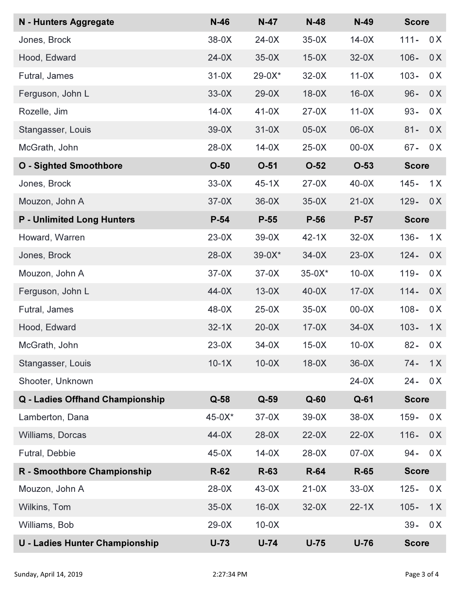| N - Hunters Aggregate             | $N-46$  | $N-47$  | $N-48$   | $N-49$  | <b>Score</b>   |  |
|-----------------------------------|---------|---------|----------|---------|----------------|--|
| Jones, Brock                      | $38-0X$ | $24-0X$ | $35-0X$  | $14-0X$ | $111 -$<br>0X  |  |
| Hood, Edward                      | $24-0X$ | $35-0X$ | $15-0X$  | $32-0X$ | $106 -$<br>0X  |  |
| Futral, James                     | $31-0X$ | 29-0X*  | $32-0X$  | $11-0X$ | 0 X<br>$103 -$ |  |
| Ferguson, John L                  | $33-0X$ | $29-0X$ | $18-0X$  | $16-0X$ | $96 -$<br>0X   |  |
| Rozelle, Jim                      | $14-0X$ | $41-0X$ | $27-0X$  | $11-0X$ | 0X<br>$93 -$   |  |
| Stangasser, Louis                 | $39-0X$ | $31-0X$ | $05-0X$  | 06-0X   | $81 -$<br>0X   |  |
| McGrath, John                     | $28-0X$ | $14-0X$ | $25-0X$  | $00-0X$ | $67 -$<br>0X   |  |
| <b>O</b> - Sighted Smoothbore     | $O-50$  | $O-51$  | $O-52$   | $O-53$  | <b>Score</b>   |  |
| Jones, Brock                      | $33-0X$ | $45-1X$ | $27-0X$  | $40-0X$ | $145 -$<br>1X  |  |
| Mouzon, John A                    | $37-0X$ | $36-0X$ | $35-0X$  | $21-0X$ | $129 -$<br>0X  |  |
| <b>P</b> - Unlimited Long Hunters | $P-54$  | $P-55$  | $P-56$   | $P-57$  | <b>Score</b>   |  |
| Howard, Warren                    | $23-0X$ | $39-0X$ | $42-1X$  | $32-0X$ | $136 -$<br>1X  |  |
| Jones, Brock                      | $28-0X$ | 39-0X*  | $34-0X$  | $23-0X$ | $124 -$<br>0X  |  |
| Mouzon, John A                    | $37-0X$ | $37-0X$ | $35-0X*$ | $10-0X$ | $119 -$<br>0 X |  |
| Ferguson, John L                  | $44-0X$ | $13-0X$ | $40-0X$  | $17-0X$ | $114 -$<br>0X  |  |
| Futral, James                     | 48-0X   | $25-0X$ | $35-0X$  | $00-0X$ | $108 -$<br>0 X |  |
| Hood, Edward                      | $32-1X$ | $20-0X$ | $17-0X$  | $34-0X$ | $103 -$<br>1X  |  |
| McGrath, John                     | $23-0X$ | $34-0X$ | $15-0X$  | $10-0X$ | $82 -$<br>0 X  |  |
| Stangasser, Louis                 | $10-1X$ | $10-0X$ | $18-0X$  | $36-0X$ | $74 -$<br>1X   |  |
| Shooter, Unknown                  |         |         |          | $24-0X$ | $24 -$<br>0 X  |  |
| Q - Ladies Offhand Championship   | $Q-58$  | $Q-59$  | $Q-60$   | $Q-61$  | <b>Score</b>   |  |
| Lamberton, Dana                   | 45-0X*  | $37-0X$ | 39-0X    | 38-0X   | $159 -$<br>0X  |  |
| Williams, Dorcas                  | 44-0X   | $28-0X$ | $22-0X$  | $22-0X$ | $116 -$<br>0X  |  |
| Futral, Debbie                    | $45-0X$ | $14-0X$ | $28-0X$  | $07-0X$ | $94 -$<br>0X   |  |
| R - Smoothbore Championship       | $R-62$  | $R-63$  | $R-64$   | $R-65$  | <b>Score</b>   |  |
| Mouzon, John A                    | $28-0X$ | $43-0X$ | $21-0X$  | $33-0X$ | $125 -$<br>0X  |  |
| Wilkins, Tom                      | $35-0X$ | $16-0X$ | $32-0X$  | $22-1X$ | $105 -$<br>1X  |  |
| Williams, Bob                     | $29-0X$ | $10-0X$ |          |         | $39 -$<br>0X   |  |
| U - Ladies Hunter Championship    | $U-73$  | $U-74$  | $U-75$   | $U-76$  | <b>Score</b>   |  |